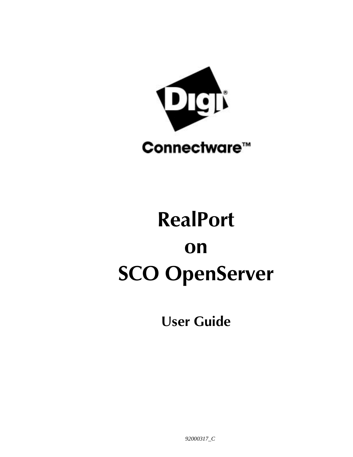

# **RealPort on SCO OpenServer**

**User Guide**

*92000317\_C*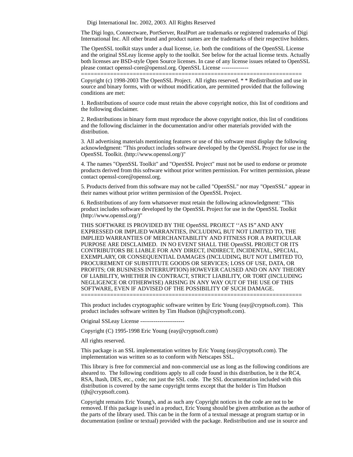Digi International Inc. 2002, 2003. All Rights Reserved

The Digi logo, Connectware, PortServer, RealPort are trademarks or registered trademarks of Digi International Inc. All other brand and product names are the trademarks of their respective holders.

The OpenSSL toolkit stays under a dual license, i.e. both the conditions of the OpenSSL License and the original SSLeay license apply to the toolkit. See below for the actual license texts. Actually both licenses are BSD-style Open Source licenses. In case of any license issues related to OpenSSL please contact openssl-core@openssl.org. OpenSSL License --------------

Copyright (c) 1998-2003 The OpenSSL Project. All rights reserved. \* \* Redistribution and use in source and binary forms, with or without modification, are permitted provided that the following conditions are met:

====================================================================

1. Redistributions of source code must retain the above copyright notice, this list of conditions and the following disclaimer.

2. Redistributions in binary form must reproduce the above copyright notice, this list of conditions and the following disclaimer in the documentation and/or other materials provided with the distribution.

3. All advertising materials mentioning features or use of this software must display the following acknowledgment: "This product includes software developed by the OpenSSL Project for use in the OpenSSL Toolkit. (http://www.openssl.org/)"

4. The names "OpenSSL Toolkit" and "OpenSSL Project" must not be used to endorse or promote products derived from this software without prior written permission. For written permission, please contact openssl-core@openssl.org.

5. Products derived from this software may not be called "OpenSSL" nor may "OpenSSL" appear in their names without prior written permission of the OpenSSL Project.

6. Redistributions of any form whatsoever must retain the following acknowledgment: "This product includes software developed by the OpenSSL Project for use in the OpenSSL Toolkit (http://www.openssl.org/)"

THIS SOFTWARE IS PROVIDED BY THE OpenSSL PROJECT ''AS IS'' AND ANY EXPRESSED OR IMPLIED WARRANTIES, INCLUDING, BUT NOT LIMITED TO, THE IMPLIED WARRANTIES OF MERCHANTABILITY AND FITNESS FOR A PARTICULAR PURPOSE ARE DISCLAIMED. IN NO EVENT SHALL THE OpenSSL PROJECT OR ITS CONTRIBUTORS BE LIABLE FOR ANY DIRECT, INDIRECT, INCIDENTAL, SPECIAL, EXEMPLARY, OR CONSEQUENTIAL DAMAGES (INCLUDING, BUT NOT LIMITED TO, PROCUREMENT OF SUBSTITUTE GOODS OR SERVICES; LOSS OF USE, DATA, OR PROFITS; OR BUSINESS INTERRUPTION) HOWEVER CAUSED AND ON ANY THEORY OF LIABILITY, WHETHER IN CONTRACT, STRICT LIABILITY, OR TORT (INCLUDING NEGLIGENCE OR OTHERWISE) ARISING IN ANY WAY OUT OF THE USE OF THIS SOFTWARE, EVEN IF ADVISED OF THE POSSIBILITY OF SUCH DAMAGE. ====================================================================

This product includes cryptographic software written by Eric Young (eay@cryptsoft.com). This product includes software written by Tim Hudson (tjh@cryptsoft.com).

Original SSLeay License -----------------------

Copyright (C) 1995-1998 Eric Young (eay@cryptsoft.com)

All rights reserved.

This package is an SSL implementation written by Eric Young (eay@cryptsoft.com). The implementation was written so as to conform with Netscapes SSL.

This library is free for commercial and non-commercial use as long as the following conditions are aheared to. The following conditions apply to all code found in this distribution, be it the RC4, RSA, lhash, DES, etc., code; not just the SSL code. The SSL documentation included with this distribution is covered by the same copyright terms except that the holder is Tim Hudson (tjh@cryptsoft.com).

Copyright remains Eric Young's, and as such any Copyright notices in the code are not to be removed. If this package is used in a product, Eric Young should be given attribution as the author of the parts of the library used. This can be in the form of a textual message at program startup or in documentation (online or textual) provided with the package. Redistribution and use in source and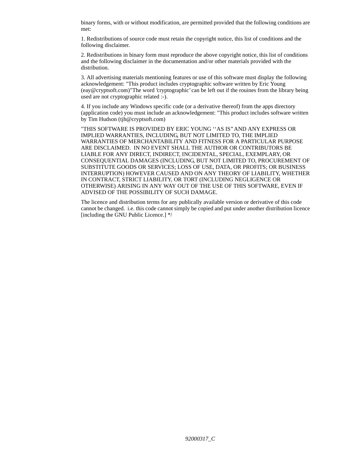binary forms, with or without modification, are permitted provided that the following conditions are met:

1. Redistributions of source code must retain the copyright notice, this list of conditions and the following disclaimer.

2. Redistributions in binary form must reproduce the above copyright notice, this list of conditions and the following disclaimer in the documentation and/or other materials provided with the distribution.

3. All advertising materials mentioning features or use of this software must display the following acknowledgement: "This product includes cryptographic software written by Eric Young (eay@cryptsoft.com)"The word 'cryptographic' can be left out if the rouines from the library being used are not cryptographic related :-).

4. If you include any Windows specific code (or a derivative thereof) from the apps directory (application code) you must include an acknowledgement: "This product includes software written by Tim Hudson (tjh@cryptsoft.com)

"THIS SOFTWARE IS PROVIDED BY ERIC YOUNG ''AS IS'' AND ANY EXPRESS OR IMPLIED WARRANTIES, INCLUDING, BUT NOT LIMITED TO, THE IMPLIED WARRANTIES OF MERCHANTABILITY AND FITNESS FOR A PARTICULAR PURPOSE ARE DISCLAIMED. IN NO EVENT SHALL THE AUTHOR OR CONTRIBUTORS BE LIABLE FOR ANY DIRECT, INDIRECT, INCIDENTAL, SPECIAL, EXEMPLARY, OR CONSEQUENTIAL DAMAGES (INCLUDING, BUT NOT LIMITED TO, PROCUREMENT OF SUBSTITUTE GOODS OR SERVICES; LOSS OF USE, DATA, OR PROFITS; OR BUSINESS INTERRUPTION) HOWEVER CAUSED AND ON ANY THEORY OF LIABILITY, WHETHER IN CONTRACT, STRICT LIABILITY, OR TORT (INCLUDING NEGLIGENCE OR OTHERWISE) ARISING IN ANY WAY OUT OF THE USE OF THIS SOFTWARE, EVEN IF ADVISED OF THE POSSIBILITY OF SUCH DAMAGE.

The licence and distribution terms for any publically available version or derivative of this code cannot be changed. i.e. this code cannot simply be copied and put under another distribution licence [including the GNU Public Licence.] \*/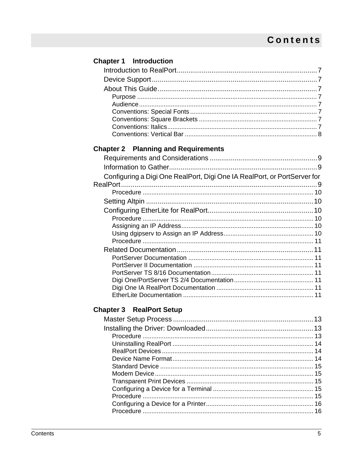| <b>Chapter 1</b> Introduction                                            |  |
|--------------------------------------------------------------------------|--|
|                                                                          |  |
|                                                                          |  |
|                                                                          |  |
|                                                                          |  |
|                                                                          |  |
|                                                                          |  |
|                                                                          |  |
|                                                                          |  |
|                                                                          |  |
| <b>Chapter 2 Planning and Requirements</b>                               |  |
|                                                                          |  |
|                                                                          |  |
| Configuring a Digi One RealPort, Digi One IA RealPort, or PortServer for |  |
|                                                                          |  |
|                                                                          |  |
|                                                                          |  |
|                                                                          |  |
|                                                                          |  |
|                                                                          |  |
|                                                                          |  |
|                                                                          |  |
|                                                                          |  |
|                                                                          |  |
|                                                                          |  |
|                                                                          |  |
|                                                                          |  |
|                                                                          |  |
| <b>Chapter 3 RealPort Setup</b>                                          |  |
|                                                                          |  |
|                                                                          |  |
|                                                                          |  |
|                                                                          |  |
|                                                                          |  |
|                                                                          |  |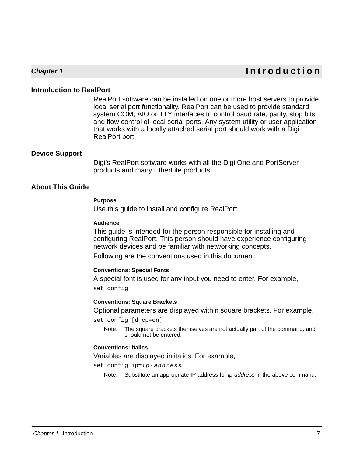# **Chapter 1 Introduction**

#### **Introduction to RealPort**

RealPort software can be installed on one or more host servers to provide local serial port functionality. RealPort can be used to provide standard system COM, AIO or TTY interfaces to control baud rate, parity, stop bits, and flow control of local serial ports. Any system utility or user application that works with a locally attached serial port should work with a Digi RealPort port.

#### **Device Support**

Digi's RealPort software works with all the Digi One and PortServer products and many EtherLite products.

## **About This Guide**

#### **Purpose**

Use this guide to install and configure RealPort.

#### **Audience**

This guide is intended for the person responsible for installing and configuring RealPort. This person should have experience configuring network devices and be familiar with networking concepts.

Following are the conventions used in this document:

#### **Conventions: Special Fonts**

A special font is used for any input you need to enter. For example, set config

#### **Conventions: Square Brackets**

Optional parameters are displayed within square brackets. For example,

set config [dhcp=on]

Note: The square brackets themselves are not actually part of the command, and should not be entered.

#### **Conventions: Italics**

Variables are displayed in italics. For example,

set config ip=ip-address

Note: Substitute an appropriate IP address for ip-address in the above command.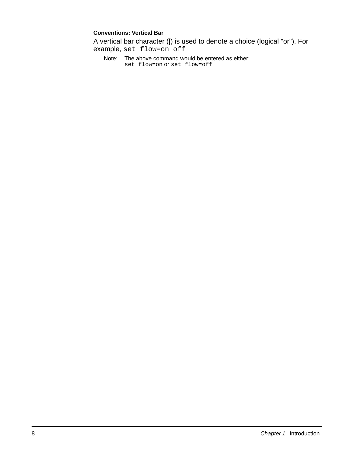#### **Conventions: Vertical Bar**

A vertical bar character (|) is used to denote a choice (logical "or"). For example, set flow=on|off

Note: The above command would be entered as either: set flow=on Or set flow=off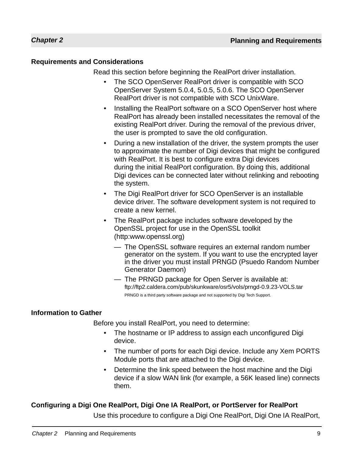# **Requirements and Considerations**

Read this section before beginning the RealPort driver installation.

- The SCO OpenServer RealPort driver is compatible with SCO OpenServer System 5.0.4, 5.0.5, 5.0.6. The SCO OpenServer RealPort driver is not compatible with SCO UnixWare.
- Installing the RealPort software on a SCO OpenServer host where RealPort has already been installed necessitates the removal of the existing RealPort driver. During the removal of the previous driver, the user is prompted to save the old configuration.
- During a new installation of the driver, the system prompts the user to approximate the number of Digi devices that might be configured with RealPort. It is best to configure extra Digi devices during the initial RealPort configuration. By doing this, additional Digi devices can be connected later without relinking and rebooting the system.
- The Digi RealPort driver for SCO OpenServer is an installable device driver. The software development system is not required to create a new kernel.
- The RealPort package includes software developed by the OpenSSL project for use in the OpenSSL toolkit (http:www.openssl.org)
	- The OpenSSL software requires an external random number generator on the system. If you want to use the encrypted layer in the driver you must install PRNGD (Psuedo Random Number Generator Daemon)
	- The PRNGD package for Open Server is available at: ftp://ftp2.caldera.com/pub/skunkware/osr5/vols/prngd-0.9.23-VOLS.tar PRNGD is a third party software package and not supported by Digi Tech Support.

# **Information to Gather**

Before you install RealPort, you need to determine:

- The hostname or IP address to assign each unconfigured Digi device.
- The number of ports for each Digi device. Include any Xem PORTS Module ports that are attached to the Digi device.
- Determine the link speed between the host machine and the Digi device if a slow WAN link (for example, a 56K leased line) connects them.

# **Configuring a Digi One RealPort, Digi One IA RealPort, or PortServer for RealPort**

Use this procedure to configure a Digi One RealPort, Digi One IA RealPort,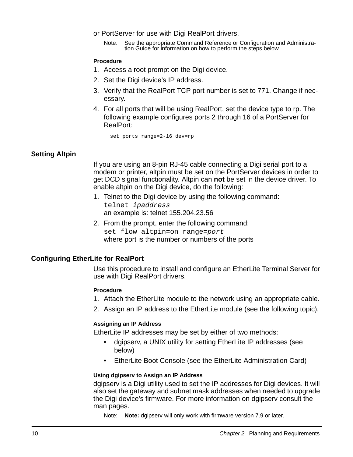- or PortServer for use with Digi RealPort drivers.
	- Note: See the appropriate Command Reference or Configuration and Administration Guide for information on how to perform the steps below.

#### **Procedure**

- 1. Access a root prompt on the Digi device.
- 2. Set the Digi device's IP address.
- 3. Verify that the RealPort TCP port number is set to 771. Change if necessary.
- 4. For all ports that will be using RealPort, set the device type to rp. The following example configures ports 2 through 16 of a PortServer for RealPort:

set ports range=2-16 dev=rp

#### **Setting Altpin**

If you are using an 8-pin RJ-45 cable connecting a Digi serial port to a modem or printer, altpin must be set on the PortServer devices in order to get DCD signal functionality. Altpin can **not** be set in the device driver. To enable altpin on the Digi device, do the following:

- 1. Telnet to the Digi device by using the following command: telnet ipaddress an example is: telnet 155.204.23.56
- 2. From the prompt, enter the following command: set flow altpin=on range=port where port is the number or numbers of the ports

#### **Configuring EtherLite for RealPort**

Use this procedure to install and configure an EtherLite Terminal Server for use with Digi RealPort drivers.

#### **Procedure**

- 1. Attach the EtherLite module to the network using an appropriate cable.
- 2. Assign an IP address to the EtherLite module (see the following topic).

#### **Assigning an IP Address**

EtherLite IP addresses may be set by either of two methods:

- dgipserv, a UNIX utility for setting EtherLite IP addresses (see below)
- EtherLite Boot Console (see the EtherLite Administration Card)

#### **Using dgipserv to Assign an IP Address**

dgipserv is a Digi utility used to set the IP addresses for Digi devices. It will also set the gateway and subnet mask addresses when needed to upgrade the Digi device's firmware. For more information on dgipserv consult the man pages.

Note: **Note:** dgipserv will only work with firmware version 7.9 or later.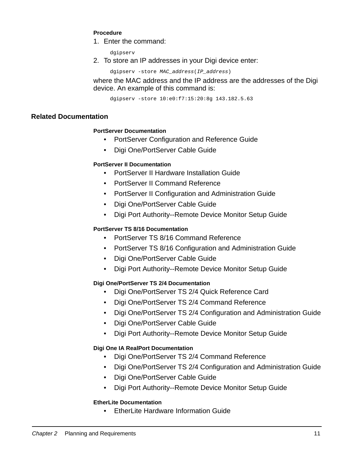#### **Procedure**

1. Enter the command:

dgipserv

2. To store an IP addresses in your Digi device enter:

dgipserv -store MAC address(IP address)

where the MAC address and the IP address are the addresses of the Digi device. An example of this command is:

dgipserv -store 10:e0:f7:15:20:8g 143.182.5.63

## **Related Documentation**

#### **PortServer Documentation**

- PortServer Configuration and Reference Guide
- Digi One/PortServer Cable Guide

## **PortServer II Documentation**

- PortServer II Hardware Installation Guide
- PortServer II Command Reference
- PortServer II Configuration and Administration Guide
- Digi One/PortServer Cable Guide
- Digi Port Authority--Remote Device Monitor Setup Guide

# **PortServer TS 8/16 Documentation**

- PortServer TS 8/16 Command Reference
- PortServer TS 8/16 Configuration and Administration Guide
- Digi One/PortServer Cable Guide
- Digi Port Authority--Remote Device Monitor Setup Guide

# **Digi One/PortServer TS 2/4 Documentation**

- Digi One/PortServer TS 2/4 Quick Reference Card
- Digi One/PortServer TS 2/4 Command Reference
- Digi One/PortServer TS 2/4 Configuration and Administration Guide
- Digi One/PortServer Cable Guide
- Digi Port Authority--Remote Device Monitor Setup Guide

# **Digi One IA RealPort Documentation**

- Digi One/PortServer TS 2/4 Command Reference
- Digi One/PortServer TS 2/4 Configuration and Administration Guide
- Digi One/PortServer Cable Guide
- Digi Port Authority--Remote Device Monitor Setup Guide

#### **EtherLite Documentation**

• EtherLite Hardware Information Guide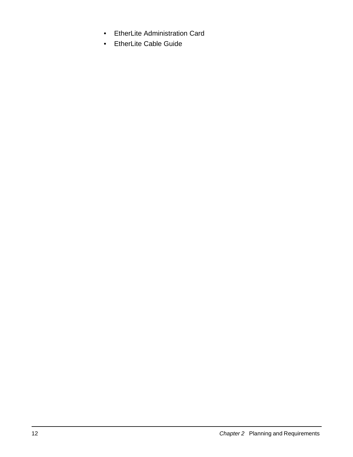- EtherLite Administration Card
- EtherLite Cable Guide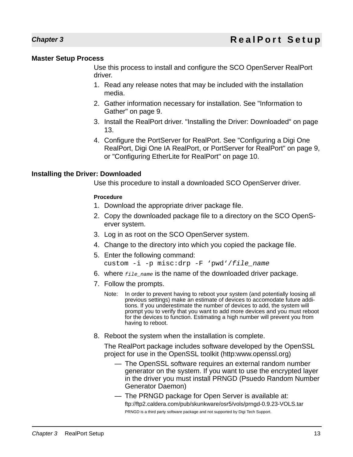# **Master Setup Process**

Use this process to install and configure the SCO OpenServer RealPort driver.

- 1. Read any release notes that may be included with the installation media.
- 2. Gather information necessary for installation. See "Information to Gather" on page 9.
- 3. Install the RealPort driver. "Installing the Driver: Downloaded" on page 13.
- 4. Configure the PortServer for RealPort. See "Configuring a Digi One RealPort, Digi One IA RealPort, or PortServer for RealPort" on page 9, or "Configuring EtherLite for RealPort" on page 10.

## **Installing the Driver: Downloaded**

Use this procedure to install a downloaded SCO OpenServer driver.

#### **Procedure**

- 1. Download the appropriate driver package file.
- 2. Copy the downloaded package file to a directory on the SCO OpenServer system.
- 3. Log in as root on the SCO OpenServer system.
- 4. Change to the directory into which you copied the package file.
- 5. Enter the following command:
	- custom -i -p misc:drp -F 'pwd'/file\_name
- 6. where  $_{file\_name}$  is the name of the downloaded driver package.
- 7. Follow the prompts.
	- Note: In order to prevent having to reboot your system (and potentially loosing all previous settings) make an estimate of devices to accomodate future additions. If you underestimate the number of devices to add, the system will prompt you to verify that you want to add more devices and you must reboot for the devices to function. Estimating a high number will prevent you from having to reboot.
- 8. Reboot the system when the installation is complete.

The RealPort package includes software developed by the OpenSSL project for use in the OpenSSL toolkit (http:www.openssl.org)

- The OpenSSL software requires an external random number generator on the system. If you want to use the encrypted layer in the driver you must install PRNGD (Psuedo Random Number Generator Daemon)
- The PRNGD package for Open Server is available at: ftp://ftp2.caldera.com/pub/skunkware/osr5/vols/prngd-0.9.23-VOLS.tar PRNGD is a third party software package and not supported by Digi Tech Support.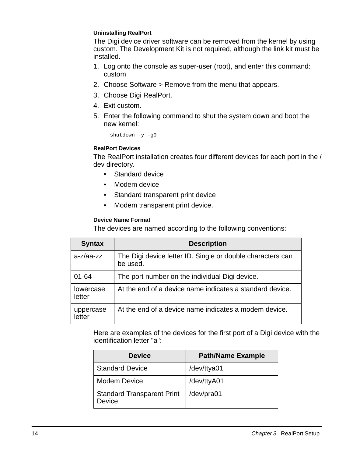#### **Uninstalling RealPort**

The Digi device driver software can be removed from the kernel by using custom. The Development Kit is not required, although the link kit must be installed.

- 1. Log onto the console as super-user (root), and enter this command: custom
- 2. Choose Software > Remove from the menu that appears.
- 3. Choose Digi RealPort.
- 4. Exit custom.
- 5. Enter the following command to shut the system down and boot the new kernel:

shutdown -y -g0

#### **RealPort Devices**

The RealPort installation creates four different devices for each port in the / dev directory.

- Standard device
- Modem device
- Standard transparent print device
- Modem transparent print device.

#### **Device Name Format**

The devices are named according to the following conventions:

| <b>Syntax</b>       | <b>Description</b>                                                     |
|---------------------|------------------------------------------------------------------------|
| $a-z/aa-zz$         | The Digi device letter ID. Single or double characters can<br>be used. |
| $01 - 64$           | The port number on the individual Digi device.                         |
| lowercase<br>letter | At the end of a device name indicates a standard device.               |
| uppercase<br>letter | At the end of a device name indicates a modem device.                  |

Here are examples of the devices for the first port of a Digi device with the identification letter "a":

| <b>Device</b>                               | <b>Path/Name Example</b> |
|---------------------------------------------|--------------------------|
| <b>Standard Device</b>                      | /dev/ttya01              |
| Modem Device                                | /dev/ttyA01              |
| <b>Standard Transparent Print</b><br>Device | /dev/pra01               |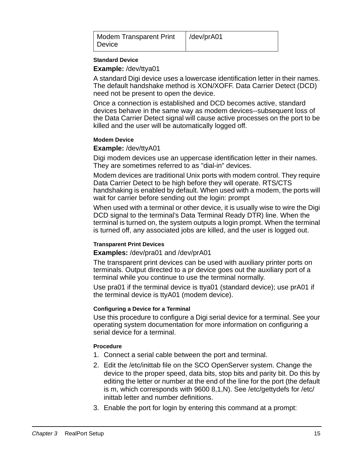| <b>Modem Transparent Print</b> | /dev/prA01 |
|--------------------------------|------------|
| Device                         |            |

#### **Standard Device**

**Example:** /dev/ttya01

A standard Digi device uses a lowercase identification letter in their names. The default handshake method is XON/XOFF. Data Carrier Detect (DCD) need not be present to open the device.

Once a connection is established and DCD becomes active, standard devices behave in the same way as modem devices--subsequent loss of the Data Carrier Detect signal will cause active processes on the port to be killed and the user will be automatically logged off.

#### **Modem Device**

#### **Example:** /dev/ttyA01

Digi modem devices use an uppercase identification letter in their names. They are sometimes referred to as "dial-in" devices.

Modem devices are traditional Unix ports with modem control. They require Data Carrier Detect to be high before they will operate. RTS/CTS handshaking is enabled by default. When used with a modem, the ports will wait for carrier before sending out the login: prompt

When used with a terminal or other device, it is usually wise to wire the Digi DCD signal to the terminal's Data Terminal Ready DTR) line. When the terminal is turned on, the system outputs a login prompt. When the terminal is turned off, any associated jobs are killed, and the user is logged out.

#### **Transparent Print Devices**

#### **Examples:** /dev/pra01 and /dev/prA01

The transparent print devices can be used with auxiliary printer ports on terminals. Output directed to a pr device goes out the auxiliary port of a terminal while you continue to use the terminal normally.

Use pra01 if the terminal device is ttya01 (standard device); use prA01 if the terminal device is ttyA01 (modem device).

#### **Configuring a Device for a Terminal**

Use this procedure to configure a Digi serial device for a terminal. See your operating system documentation for more information on configuring a serial device for a terminal.

#### **Procedure**

- 1. Connect a serial cable between the port and terminal.
- 2. Edit the /etc/inittab file on the SCO OpenServer system. Change the device to the proper speed, data bits, stop bits and parity bit. Do this by editing the letter or number at the end of the line for the port (the default is m, which corresponds with 9600 8,1,N). See /etc/gettydefs for /etc/ inittab letter and number definitions.
- 3. Enable the port for login by entering this command at a prompt: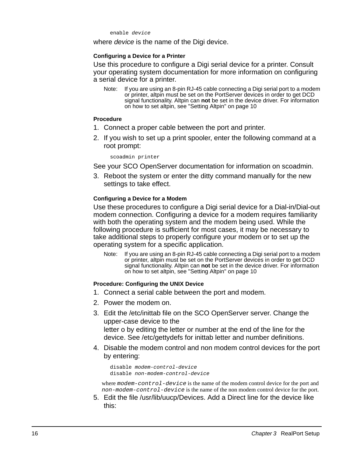enable device

where device is the name of the Digi device.

#### **Configuring a Device for a Printer**

Use this procedure to configure a Digi serial device for a printer. Consult your operating system documentation for more information on configuring a serial device for a printer.

Note: If you are using an 8-pin RJ-45 cable connecting a Digi serial port to a modem or printer, altpin must be set on the PortServer devices in order to get DCD signal functionality. Altpin can **not** be set in the device driver. For information on how to set altpin, see "Setting Altpin" on page 10

#### **Procedure**

- 1. Connect a proper cable between the port and printer.
- 2. If you wish to set up a print spooler, enter the following command at a root prompt:

scoadmin printer

See your SCO OpenServer documentation for information on scoadmin.

3. Reboot the system or enter the ditty command manually for the new settings to take effect.

#### **Configuring a Device for a Modem**

Use these procedures to configure a Digi serial device for a Dial-in/Dial-out modem connection. Configuring a device for a modem requires familiarity with both the operating system and the modem being used. While the following procedure is sufficient for most cases, it may be necessary to take additional steps to properly configure your modem or to set up the operating system for a specific application.

Note: If you are using an 8-pin RJ-45 cable connecting a Digi serial port to a modem or printer, altpin must be set on the PortServer devices in order to get DCD signal functionality. Altpin can **not** be set in the device driver. For information on how to set altpin, see "Setting Altpin" on page 10

#### **Procedure: Configuring the UNIX Device**

- 1. Connect a serial cable between the port and modem.
- 2. Power the modem on.
- 3. Edit the /etc/inittab file on the SCO OpenServer server. Change the upper-case device to the letter o by editing the letter or number at the end of the line for the device. See /etc/gettydefs for inittab letter and number definitions.
- 4. Disable the modem control and non modem control devices for the port by entering:

```
disable modem-control-device
disable non-modem-control-device
```
where modem-control-device is the name of the modem control device for the port and non-modem-control-device is the name of the non modem control device for the port.

5. Edit the file /usr/lib/uucp/Devices. Add a Direct line for the device like this: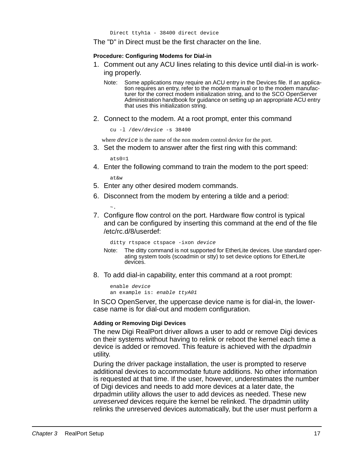The "D" in Direct must be the first character on the line.

#### **Procedure: Configuring Modems for Dial-in**

- 1. Comment out any ACU lines relating to this device until dial-in is working properly.
	- Note: Some applications may require an ACU entry in the Devices file. If an application requires an entry, refer to the modem manual or to the modem manufacturer for the correct modem initialization string, and to the SCO OpenServer Administration handbook for guidance on setting up an appropriate ACU entry that uses this initialization string.
- 2. Connect to the modem. At a root prompt, enter this command

cu -l /dev/device -s 38400

where  $device$  is the name of the non modem control device for the port.

3. Set the modem to answer after the first ring with this command:

ats0=1

4. Enter the following command to train the modem to the port speed:

at&w

~.

- 5. Enter any other desired modem commands.
- 6. Disconnect from the modem by entering a tilde and a period:
- 7. Configure flow control on the port. Hardware flow control is typical and can be configured by inserting this command at the end of the file /etc/rc.d/8/userdef:

ditty rtspace ctspace -ixon device

- Note: The ditty command is not supported for EtherLite devices. Use standard operating system tools (scoadmin or stty) to set device options for EtherLite devices.
- 8. To add dial-in capability, enter this command at a root prompt:

enable device an example is: enable ttyA01

In SCO OpenServer, the uppercase device name is for dial-in, the lowercase name is for dial-out and modem configuration.

#### **Adding or Removing Digi Devices**

The new Digi RealPort driver allows a user to add or remove Digi devices on their systems without having to relink or reboot the kernel each time a device is added or removed. This feature is achieved with the drpadmin utility.

During the driver package installation, the user is prompted to reserve additional devices to accommodate future additions. No other information is requested at that time. If the user, however, underestimates the number of Digi devices and needs to add more devices at a later date, the drpadmin utility allows the user to add devices as needed. These new unreserved devices require the kernel be relinked. The drpadmin utility relinks the unreserved devices automatically, but the user must perform a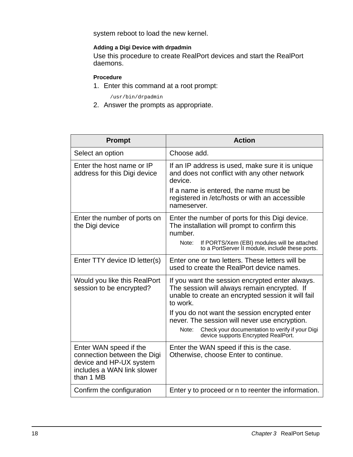system reboot to load the new kernel.

#### **Adding a Digi Device with drpadmin**

Use this procedure to create RealPort devices and start the RealPort daemons.

#### **Procedure**

1. Enter this command at a root prompt:

/usr/bin/drpadmin

2. Answer the prompts as appropriate.

| <b>Prompt</b>                                                                                                               | <b>Action</b>                                                                                                                                                     |
|-----------------------------------------------------------------------------------------------------------------------------|-------------------------------------------------------------------------------------------------------------------------------------------------------------------|
| Select an option                                                                                                            | Choose add.                                                                                                                                                       |
| Enter the host name or IP<br>address for this Digi device                                                                   | If an IP address is used, make sure it is unique<br>and does not conflict with any other network<br>device.                                                       |
|                                                                                                                             | If a name is entered, the name must be<br>registered in /etc/hosts or with an accessible<br>nameserver.                                                           |
| Enter the number of ports on<br>the Digi device                                                                             | Enter the number of ports for this Digi device.<br>The installation will prompt to confirm this<br>number.                                                        |
|                                                                                                                             | If PORTS/Xem (EBI) modules will be attached<br>Note:<br>to a PortServer II module, include these ports.                                                           |
| Enter TTY device ID letter(s)                                                                                               | Enter one or two letters. These letters will be<br>used to create the RealPort device names.                                                                      |
| Would you like this RealPort<br>session to be encrypted?                                                                    | If you want the session encrypted enter always.<br>The session will always remain encrypted. If<br>unable to create an encrypted session it will fail<br>to work. |
|                                                                                                                             | If you do not want the session encrypted enter<br>never. The session will never use encryption.                                                                   |
|                                                                                                                             | Check your documentation to verify if your Digi<br>Note:<br>device supports Encrypted RealPort.                                                                   |
| Enter WAN speed if the<br>connection between the Digi<br>device and HP-UX system<br>includes a WAN link slower<br>than 1 MB | Enter the WAN speed if this is the case.<br>Otherwise, choose Enter to continue.                                                                                  |
| Confirm the configuration                                                                                                   | Enter y to proceed or n to reenter the information.                                                                                                               |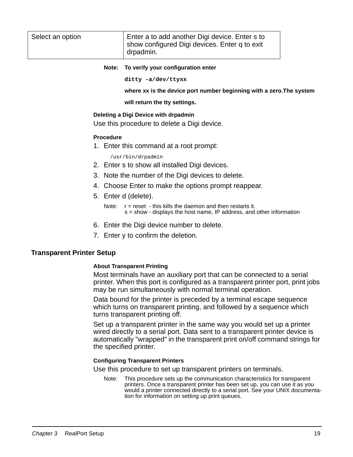| Select an option | Enter a to add another Digi device. Enter s to<br>show configured Digi devices. Enter q to exit<br>drpadmin. |
|------------------|--------------------------------------------------------------------------------------------------------------|
|                  |                                                                                                              |

#### **Note: To verify your configuration enter**

**ditty -a/dev/ttyxx**

**where xx is the device port number beginning with a zero.The system**

**will return the tty settings.**

#### **Deleting a Digi Device with drpadmin**

Use this procedure to delete a Digi device.

#### **Procedure**

1. Enter this command at a root prompt:

/usr/bin/drpadmin

- 2. Enter s to show all installed Digi devices.
- 3. Note the number of the Digi devices to delete.
- 4. Choose Enter to make the options prompt reappear.
- 5. Enter d (delete).

```
Note: r = reset - this kills the daemon and then restarts it.
        s = show - displays the host name, IP address, and other information
```
- 6. Enter the Digi device number to delete.
- 7. Enter y to confirm the deletion.

#### **Transparent Printer Setup**

#### **About Transparent Printing**

Most terminals have an auxiliary port that can be connected to a serial printer. When this port is configured as a transparent printer port, print jobs may be run simultaneously with normal terminal operation.

Data bound for the printer is preceded by a terminal escape sequence which turns on transparent printing, and followed by a sequence which turns transparent printing off.

Set up a transparent printer in the same way you would set up a printer wired directly to a serial port. Data sent to a transparent printer device is automatically "wrapped" in the transparent print on/off command strings for the specified printer.

#### **Configuring Transparent Printers**

Use this procedure to set up transparent printers on terminals.

Note: This procedure sets up the communication characteristics for transparent printers. Once a transparent printer has been set up, you can use it as you would a printer connected directly to a serial port. See your UNIX documentation for information on setting up print queues.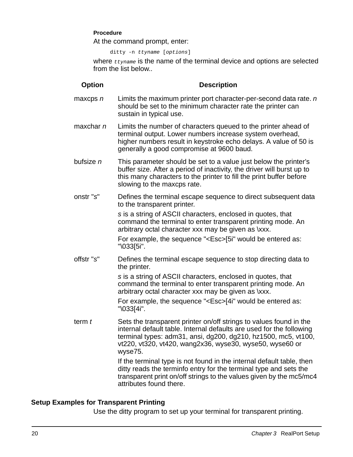#### **Procedure**

At the command prompt, enter:

ditty -n ttyname [options]

where  $t$ tyname is the name of the terminal device and options are selected from the list below..

#### **Option Description**

- maxcps  $n$  Limits the maximum printer port character-per-second data rate.  $n$ should be set to the minimum character rate the printer can sustain in typical use.
- maxchar  $n$  Limits the number of characters queued to the printer ahead of terminal output. Lower numbers increase system overhead, higher numbers result in keystroke echo delays. A value of 50 is generally a good compromise at 9600 baud.
- bufsize  $n$  This parameter should be set to a value just below the printer's buffer size. After a period of inactivity, the driver will burst up to this many characters to the printer to fill the print buffer before slowing to the maxcps rate.
- onstr "s" Defines the terminal escape sequence to direct subsequent data to the transparent printer.

s is a string of ASCII characters, enclosed in quotes, that command the terminal to enter transparent printing mode. An arbitrary octal character xxx may be given as \xxx.

For example, the sequence "<Esc>[5i" would be entered as: "\033[5i".

offstr "s" Defines the terminal escape sequence to stop directing data to the printer.

> s is a string of ASCII characters, enclosed in quotes, that command the terminal to enter transparent printing mode. An arbitrary octal character xxx may be given as \xxx.

For example, the sequence "<Esc>[4i" would be entered as: "\033[4i".

term  $t$  Sets the transparent printer on/off strings to values found in the internal default table. Internal defaults are used for the following terminal types: adm31, ansi, dg200, dg210, hz1500, mc5, vt100, vt220, vt320, vt420, wang2x36, wyse30, wyse50, wyse60 or wyse75.

> If the terminal type is not found in the internal default table, then ditty reads the terminfo entry for the terminal type and sets the transparent print on/off strings to the values given by the mc5/mc4 attributes found there.

# **Setup Examples for Transparent Printing**

Use the ditty program to set up your terminal for transparent printing.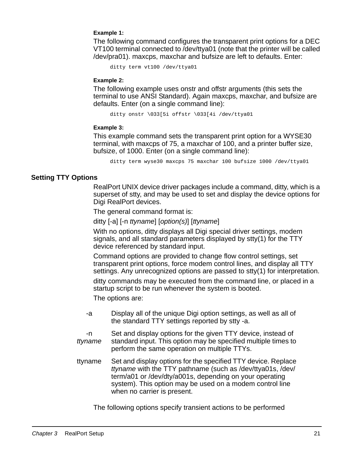#### **Example 1:**

The following command configures the transparent print options for a DEC VT100 terminal connected to /dev/ttya01 (note that the printer will be called /dev/pra01). maxcps, maxchar and bufsize are left to defaults. Enter:

```
ditty term vt100 /dev/ttya01
```
#### **Example 2:**

The following example uses onstr and offstr arguments (this sets the terminal to use ANSI Standard). Again maxcps, maxchar, and bufsize are defaults. Enter (on a single command line):

ditty onstr \033[5i offstr \033[4i /dev/ttya01

#### **Example 3:**

This example command sets the transparent print option for a WYSE30 terminal, with maxcps of 75, a maxchar of 100, and a printer buffer size, bufsize, of 1000. Enter (on a single command line):

ditty term wyse30 maxcps 75 maxchar 100 bufsize 1000 /dev/ttya01

## **Setting TTY Options**

RealPort UNIX device driver packages include a command, ditty, which is a superset of stty, and may be used to set and display the device options for Digi RealPort devices.

The general command format is:

ditty [-a] [-n ttyname] [option(s)] [ttyname]

With no options, ditty displays all Digi special driver settings, modem signals, and all standard parameters displayed by stty(1) for the TTY device referenced by standard input.

Command options are provided to change flow control settings, set transparent print options, force modem control lines, and display all TTY settings. Any unrecognized options are passed to stty(1) for interpretation.

ditty commands may be executed from the command line, or placed in a startup script to be run whenever the system is booted.

The options are:

- -a Display all of the unique Digi option settings, as well as all of the standard TTY settings reported by stty -a.
- -n ttyname Set and display options for the given TTY device, instead of standard input. This option may be specified multiple times to perform the same operation on multiple TTYs.
- ttyname Set and display options for the specified TTY device. Replace ttyname with the TTY pathname (such as /dev/ttya01s, /dev/ term/a01 or /dev/dty/a001s, depending on your operating system). This option may be used on a modem control line when no carrier is present.

The following options specify transient actions to be performed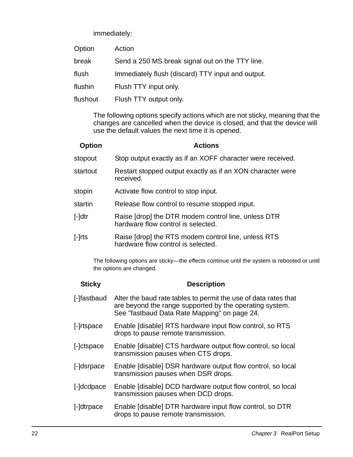immediately:

| Option   | Action                                            |
|----------|---------------------------------------------------|
| break    | Send a 250 MS break signal out on the TTY line.   |
| flush    | Immediately flush (discard) TTY input and output. |
| flushin  | Flush TTY input only.                             |
| flushout | Flush TTY output only.                            |

The following options specify actions which are not sticky, meaning that the changes are cancelled when the device is closed, and that the device will use the default values the next time it is opened.

| <b>Option</b> | <b>Actions</b>                                                                            |
|---------------|-------------------------------------------------------------------------------------------|
| stopout       | Stop output exactly as if an XOFF character were received.                                |
| startout      | Restart stopped output exactly as if an XON character were<br>received.                   |
| stopin        | Activate flow control to stop input.                                                      |
| startin       | Release flow control to resume stopped input.                                             |
| $[-]$ dtr     | Raise [drop] the DTR modem control line, unless DTR<br>hardware flow control is selected. |
| $[-]$ rts     | Raise [drop] the RTS modem control line, unless RTS<br>hardware flow control is selected. |

The following options are sticky—the effects continue until the system is rebooted or until the options are changed.

| <b>Sticky</b> | <b>Description</b>                                                                                                                                                         |
|---------------|----------------------------------------------------------------------------------------------------------------------------------------------------------------------------|
| [-]fastbaud   | Alter the baud rate tables to permit the use of data rates that<br>are beyond the range supported by the operating system.<br>See "fastbaud Data Rate Mapping" on page 24. |
| [-]rtspace    | Enable [disable] RTS hardware input flow control, so RTS<br>drops to pause remote transmission.                                                                            |
| [-]ctspace    | Enable [disable] CTS hardware output flow control, so local<br>transmission pauses when CTS drops.                                                                         |
| [-]dsrpace    | Enable [disable] DSR hardware output flow control, so local<br>transmission pauses when DSR drops.                                                                         |
| [-]dcdpace    | Enable [disable] DCD hardware output flow control, so local<br>transmission pauses when DCD drops.                                                                         |
| [-]dtrpace    | Enable [disable] DTR hardware input flow control, so DTR<br>drops to pause remote transmission.                                                                            |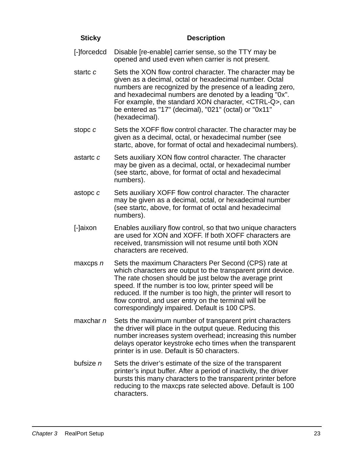| <b>Sticky</b> | <b>Description</b>                                                                                                                                                                                                                                                                                                                                                                                                  |
|---------------|---------------------------------------------------------------------------------------------------------------------------------------------------------------------------------------------------------------------------------------------------------------------------------------------------------------------------------------------------------------------------------------------------------------------|
| [-]forcedcd   | Disable [re-enable] carrier sense, so the TTY may be<br>opened and used even when carrier is not present.                                                                                                                                                                                                                                                                                                           |
| startc c      | Sets the XON flow control character. The character may be<br>given as a decimal, octal or hexadecimal number. Octal<br>numbers are recognized by the presence of a leading zero,<br>and hexadecimal numbers are denoted by a leading "0x".<br>For example, the standard XON character, <ctrl-q>, can<br/>be entered as "17" (decimal), "021" (octal) or "0x11"<br/>(hexadecimal).</ctrl-q>                          |
| stopc c       | Sets the XOFF flow control character. The character may be<br>given as a decimal, octal, or hexadecimal number (see<br>startc, above, for format of octal and hexadecimal numbers).                                                                                                                                                                                                                                 |
| astartc c     | Sets auxiliary XON flow control character. The character<br>may be given as a decimal, octal, or hexadecimal number<br>(see startc, above, for format of octal and hexadecimal<br>numbers).                                                                                                                                                                                                                         |
| astopc c      | Sets auxiliary XOFF flow control character. The character<br>may be given as a decimal, octal, or hexadecimal number<br>(see startc, above, for format of octal and hexadecimal<br>numbers).                                                                                                                                                                                                                        |
| [-]aixon      | Enables auxiliary flow control, so that two unique characters<br>are used for XON and XOFF. If both XOFF characters are<br>received, transmission will not resume until both XON<br>characters are received.                                                                                                                                                                                                        |
| maxcps $n$    | Sets the maximum Characters Per Second (CPS) rate at<br>which characters are output to the transparent print device.<br>The rate chosen should be just below the average print<br>speed. If the number is too low, printer speed will be<br>reduced. If the number is too high, the printer will resort to<br>flow control, and user entry on the terminal will be<br>correspondingly impaired. Default is 100 CPS. |
| maxchar $n$   | Sets the maximum number of transparent print characters<br>the driver will place in the output queue. Reducing this<br>number increases system overhead; increasing this number<br>delays operator keystroke echo times when the transparent<br>printer is in use. Default is 50 characters.                                                                                                                        |
| bufsize $n$   | Sets the driver's estimate of the size of the transparent<br>printer's input buffer. After a period of inactivity, the driver<br>bursts this many characters to the transparent printer before<br>reducing to the maxcps rate selected above. Default is 100<br>characters.                                                                                                                                         |